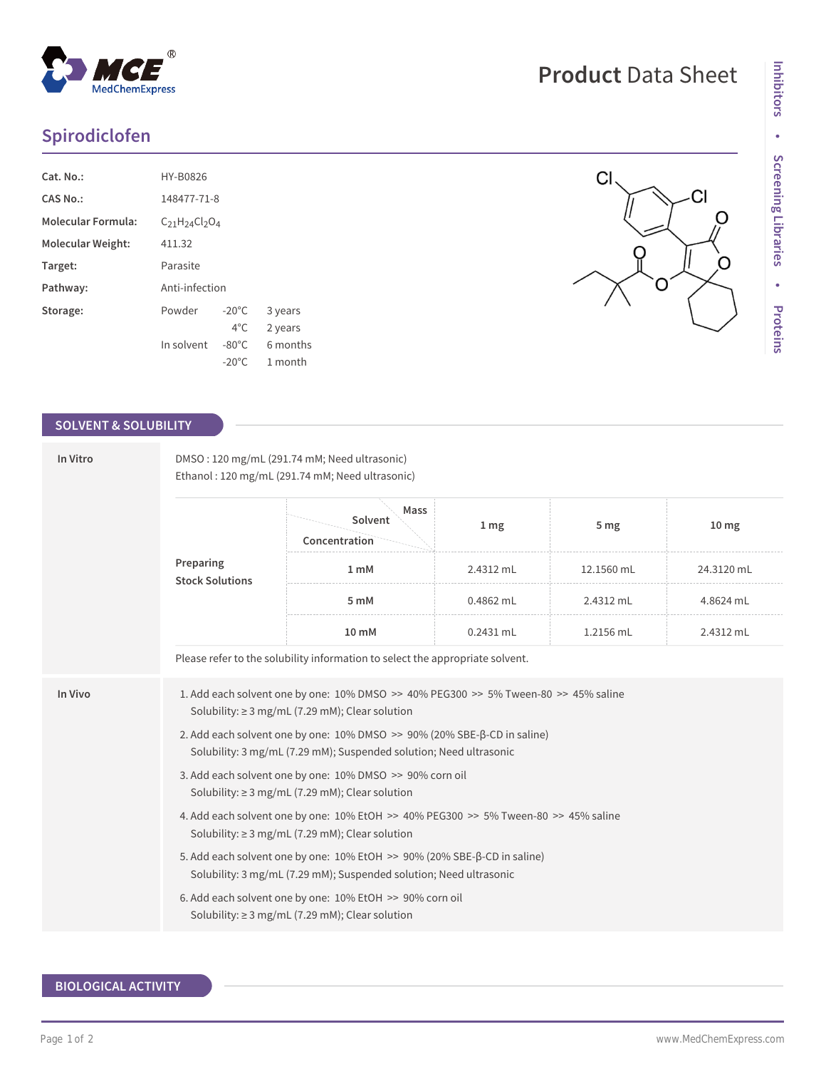# **Spirodiclofen**

| Cat. No.:                 | HY-B0826                  |                 |          |  |  |  |
|---------------------------|---------------------------|-----------------|----------|--|--|--|
| CAS No.:                  | 148477-71-8               |                 |          |  |  |  |
| <b>Molecular Formula:</b> | $C_{21}H_{24}Cl_{2}O_{4}$ |                 |          |  |  |  |
| Molecular Weight:         | 411.32                    |                 |          |  |  |  |
| Target:                   | Parasite                  |                 |          |  |  |  |
| Pathway:                  | Anti-infection            |                 |          |  |  |  |
| Storage:                  | Powder                    | $-20^{\circ}$ C | 3 years  |  |  |  |
|                           |                           | $4^{\circ}$ C.  | 2 years  |  |  |  |
|                           | In solvent                | $-80^{\circ}$ C | 6 months |  |  |  |
|                           |                           | $-20^{\circ}$ C | 1 month  |  |  |  |

## **SOLVENT & SOLUBILITY**

| In Vitro | DMSO: 120 mg/mL (291.74 mM; Need ultrasonic)<br>Ethanol: 120 mg/mL (291.74 mM; Need ultrasonic)                                                                                                                                                                 |                                                                                                                  |                 |                 |                  |  |  |
|----------|-----------------------------------------------------------------------------------------------------------------------------------------------------------------------------------------------------------------------------------------------------------------|------------------------------------------------------------------------------------------------------------------|-----------------|-----------------|------------------|--|--|
|          | Preparing<br><b>Stock Solutions</b>                                                                                                                                                                                                                             | Mass<br>Solvent<br>Concentration                                                                                 | 1 <sub>mg</sub> | 5 <sub>mg</sub> | 10 <sub>mg</sub> |  |  |
|          |                                                                                                                                                                                                                                                                 | 1 mM                                                                                                             | 2.4312 mL       | 12.1560 mL      | 24.3120 mL       |  |  |
|          |                                                                                                                                                                                                                                                                 | 5 mM                                                                                                             | 0.4862 mL       | 2.4312 mL       | 4.8624 mL        |  |  |
|          |                                                                                                                                                                                                                                                                 | 10 mM                                                                                                            | $0.2431$ mL     | 1.2156 mL       | 2.4312 mL        |  |  |
|          |                                                                                                                                                                                                                                                                 | Please refer to the solubility information to select the appropriate solvent.                                    |                 |                 |                  |  |  |
| In Vivo  | 1. Add each solvent one by one: $10\%$ DMSO $\geq$ 40% PEG300 $\geq$ 5% Tween-80 $\geq$ 45% saline<br>Solubility: $\geq$ 3 mg/mL (7.29 mM); Clear solution                                                                                                      |                                                                                                                  |                 |                 |                  |  |  |
|          | 2. Add each solvent one by one: 10% DMSO >> 90% (20% SBE-β-CD in saline)<br>Solubility: 3 mg/mL (7.29 mM); Suspended solution; Need ultrasonic                                                                                                                  |                                                                                                                  |                 |                 |                  |  |  |
|          | 3. Add each solvent one by one: 10% DMSO >> 90% corn oil<br>Solubility: $\geq$ 3 mg/mL (7.29 mM); Clear solution<br>4. Add each solvent one by one: 10% EtOH >> 40% PEG300 >> 5% Tween-80 >> 45% saline<br>Solubility: $\geq$ 3 mg/mL (7.29 mM); Clear solution |                                                                                                                  |                 |                 |                  |  |  |
|          |                                                                                                                                                                                                                                                                 |                                                                                                                  |                 |                 |                  |  |  |
|          | 5. Add each solvent one by one: 10% EtOH >> 90% (20% SBE-β-CD in saline)<br>Solubility: 3 mg/mL (7.29 mM); Suspended solution; Need ultrasonic                                                                                                                  |                                                                                                                  |                 |                 |                  |  |  |
|          |                                                                                                                                                                                                                                                                 | 6. Add each solvent one by one: 10% EtOH >> 90% corn oil<br>Solubility: $\geq$ 3 mg/mL (7.29 mM); Clear solution |                 |                 |                  |  |  |
|          |                                                                                                                                                                                                                                                                 |                                                                                                                  |                 |                 |                  |  |  |

# **BIOLOGICAL ACTIVITY**